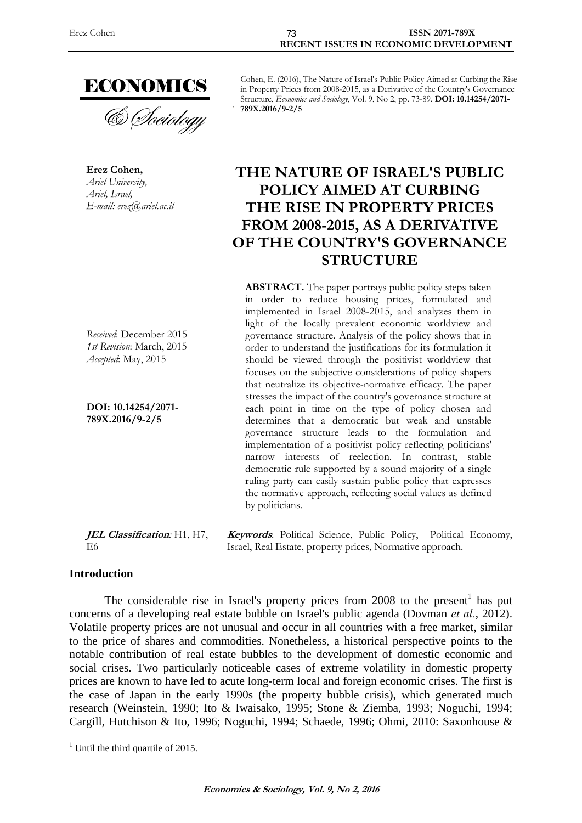

**Erez Cohen,**  *Ariel University, Ariel, Israel, E-mail: erez@ariel.ac.il* 

*Received*: December 2015 *1st Revision*: March, 2015 *Accepted*: May, 2015

**DOI: 10.14254/2071- 789X.2016/9-2/5**

Cohen, E. (2016), The Nature of Israel's Public Policy Aimed at Curbing the Rise in Property Prices from 2008-2015, as a Derivative of the Country's Governance Structure, *Economics and Sociology*, Vol. 9, No 2, pp. 73-89. **DOI: 10.14254/2071- 789X.2016/9-2/5**

# **THE NATURE OF ISRAEL'S PUBLIC POLICY AIMED AT CURBING THE RISE IN PROPERTY PRICES FROM 2008-2015, AS A DERIVATIVE OF THE COUNTRY'S GOVERNANCE STRUCTURE**

**ABSTRACT.** The paper portrays public policy steps taken in order to reduce housing prices, formulated and implemented in Israel 2008-2015, and analyzes them in light of the locally prevalent economic worldview and governance structure. Analysis of the policy shows that in order to understand the justifications for its formulation it should be viewed through the positivist worldview that focuses on the subjective considerations of policy shapers that neutralize its objective-normative efficacy. The paper stresses the impact of the country's governance structure at each point in time on the type of policy chosen and determines that a democratic but weak and unstable governance structure leads to the formulation and implementation of a positivist policy reflecting politicians' narrow interests of reelection. In contrast, stable democratic rule supported by a sound majority of a single ruling party can easily sustain public policy that expresses the normative approach, reflecting social values as defined by politicians.

**JEL Classification***:* H1, H7, E6 **Keywords**: Political Science, Public Policy, Political Economy, Israel, Real Estate, property prices, Normative approach.

#### **Introduction**

1

The considerable rise in Israel's property prices from  $2008$  to the present<sup>1</sup> has put concerns of a developing real estate bubble on Israel's public agenda (Dovman *et al.*, 2012). Volatile property prices are not unusual and occur in all countries with a free market, similar to the price of shares and commodities. Nonetheless, a historical perspective points to the notable contribution of real estate bubbles to the development of domestic economic and social crises. Two particularly noticeable cases of extreme volatility in domestic property prices are known to have led to acute long-term local and foreign economic crises. The first is the case of Japan in the early 1990s (the property bubble crisis), which generated much research (Weinstein, 1990; Ito & Iwaisako, 1995; Stone & Ziemba, 1993; Noguchi, 1994; Cargill, Hutchison & Ito, 1996; Noguchi, 1994; Schaede, 1996; Ohmi, 2010: Saxonhouse &

<sup>&</sup>lt;sup>1</sup> Until the third quartile of 2015.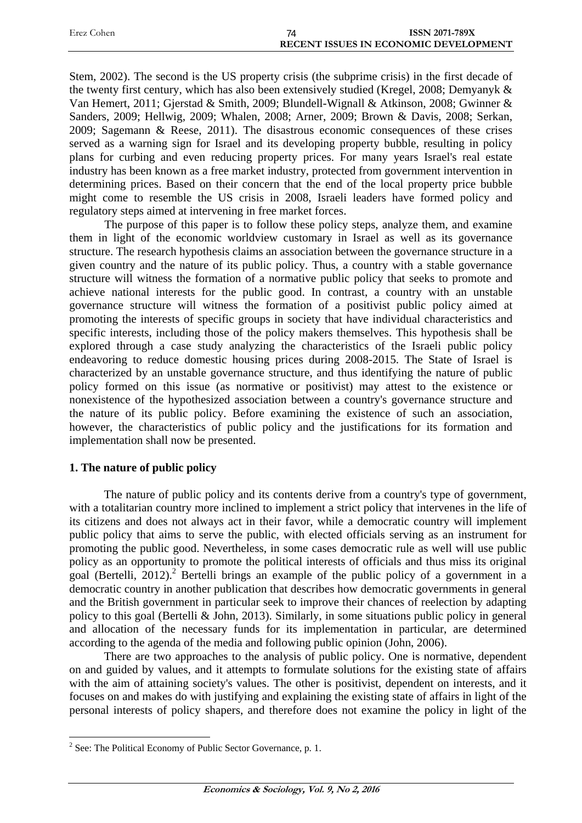| Erez Cohen | ISSN 2071-789X                               |  |
|------------|----------------------------------------------|--|
|            | <b>RECENT ISSUES IN ECONOMIC DEVELOPMENT</b> |  |

Stem, 2002). The second is the US property crisis (the subprime crisis) in the first decade of the twenty first century, which has also been extensively studied (Kregel, 2008; Demyanyk & Van Hemert, 2011; Gjerstad & Smith, 2009; Blundell-Wignall & Atkinson, 2008; Gwinner & Sanders, 2009; Hellwig, 2009; Whalen, 2008; Arner, 2009; Brown & Davis, 2008; Serkan, 2009; Sagemann & Reese, 2011). The disastrous economic consequences of these crises served as a warning sign for Israel and its developing property bubble, resulting in policy plans for curbing and even reducing property prices. For many years Israel's real estate industry has been known as a free market industry, protected from government intervention in determining prices. Based on their concern that the end of the local property price bubble might come to resemble the US crisis in 2008, Israeli leaders have formed policy and regulatory steps aimed at intervening in free market forces.

The purpose of this paper is to follow these policy steps, analyze them, and examine them in light of the economic worldview customary in Israel as well as its governance structure. The research hypothesis claims an association between the governance structure in a given country and the nature of its public policy. Thus, a country with a stable governance structure will witness the formation of a normative public policy that seeks to promote and achieve national interests for the public good. In contrast, a country with an unstable governance structure will witness the formation of a positivist public policy aimed at promoting the interests of specific groups in society that have individual characteristics and specific interests, including those of the policy makers themselves. This hypothesis shall be explored through a case study analyzing the characteristics of the Israeli public policy endeavoring to reduce domestic housing prices during 2008-2015. The State of Israel is characterized by an unstable governance structure, and thus identifying the nature of public policy formed on this issue (as normative or positivist) may attest to the existence or nonexistence of the hypothesized association between a country's governance structure and the nature of its public policy. Before examining the existence of such an association, however, the characteristics of public policy and the justifications for its formation and implementation shall now be presented.

## **1. The nature of public policy**

1

The nature of public policy and its contents derive from a country's type of government, with a totalitarian country more inclined to implement a strict policy that intervenes in the life of its citizens and does not always act in their favor, while a democratic country will implement public policy that aims to serve the public, with elected officials serving as an instrument for promoting the public good. Nevertheless, in some cases democratic rule as well will use public policy as an opportunity to promote the political interests of officials and thus miss its original goal (Bertelli, 2012).<sup>2</sup> Bertelli brings an example of the public policy of a government in a democratic country in another publication that describes how democratic governments in general and the British government in particular seek to improve their chances of reelection by adapting policy to this goal (Bertelli & John, 2013). Similarly, in some situations public policy in general and allocation of the necessary funds for its implementation in particular, are determined according to the agenda of the media and following public opinion (John, 2006).

There are two approaches to the analysis of public policy. One is normative, dependent on and guided by values, and it attempts to formulate solutions for the existing state of affairs with the aim of attaining society's values. The other is positivist, dependent on interests, and it focuses on and makes do with justifying and explaining the existing state of affairs in light of the personal interests of policy shapers, and therefore does not examine the policy in light of the

 $2^2$  See: The Political Economy of Public Sector Governance, p. 1.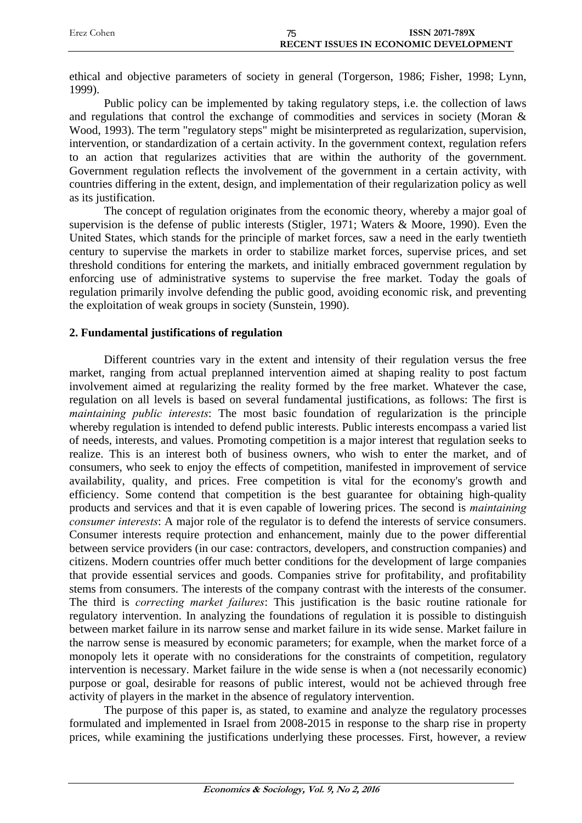| Erez Cohen | ISSN 2071-789X                        |
|------------|---------------------------------------|
|            | RECENT ISSUES IN ECONOMIC DEVELOPMENT |

ethical and objective parameters of society in general (Torgerson, 1986; Fisher, 1998; Lynn, 1999).

Public policy can be implemented by taking regulatory steps, i.e. the collection of laws and regulations that control the exchange of commodities and services in society (Moran & Wood, 1993). The term "regulatory steps" might be misinterpreted as regularization, supervision, intervention, or standardization of a certain activity. In the government context, regulation refers to an action that regularizes activities that are within the authority of the government. Government regulation reflects the involvement of the government in a certain activity, with countries differing in the extent, design, and implementation of their regularization policy as well as its justification.

The concept of regulation originates from the economic theory, whereby a major goal of supervision is the defense of public interests (Stigler, 1971; Waters & Moore, 1990). Even the United States, which stands for the principle of market forces, saw a need in the early twentieth century to supervise the markets in order to stabilize market forces, supervise prices, and set threshold conditions for entering the markets, and initially embraced government regulation by enforcing use of administrative systems to supervise the free market. Today the goals of regulation primarily involve defending the public good, avoiding economic risk, and preventing the exploitation of weak groups in society (Sunstein, 1990).

## **2. Fundamental justifications of regulation**

Different countries vary in the extent and intensity of their regulation versus the free market, ranging from actual preplanned intervention aimed at shaping reality to post factum involvement aimed at regularizing the reality formed by the free market. Whatever the case, regulation on all levels is based on several fundamental justifications, as follows: The first is *maintaining public interests*: The most basic foundation of regularization is the principle whereby regulation is intended to defend public interests. Public interests encompass a varied list of needs, interests, and values. Promoting competition is a major interest that regulation seeks to realize. This is an interest both of business owners, who wish to enter the market, and of consumers, who seek to enjoy the effects of competition, manifested in improvement of service availability, quality, and prices. Free competition is vital for the economy's growth and efficiency. Some contend that competition is the best guarantee for obtaining high-quality products and services and that it is even capable of lowering prices. The second is *maintaining consumer interests*: A major role of the regulator is to defend the interests of service consumers. Consumer interests require protection and enhancement, mainly due to the power differential between service providers (in our case: contractors, developers, and construction companies) and citizens. Modern countries offer much better conditions for the development of large companies that provide essential services and goods. Companies strive for profitability, and profitability stems from consumers. The interests of the company contrast with the interests of the consumer. The third is *correcting market failures*: This justification is the basic routine rationale for regulatory intervention. In analyzing the foundations of regulation it is possible to distinguish between market failure in its narrow sense and market failure in its wide sense. Market failure in the narrow sense is measured by economic parameters; for example, when the market force of a monopoly lets it operate with no considerations for the constraints of competition, regulatory intervention is necessary. Market failure in the wide sense is when a (not necessarily economic) purpose or goal, desirable for reasons of public interest, would not be achieved through free activity of players in the market in the absence of regulatory intervention.

The purpose of this paper is, as stated, to examine and analyze the regulatory processes formulated and implemented in Israel from 2008-2015 in response to the sharp rise in property prices, while examining the justifications underlying these processes. First, however, a review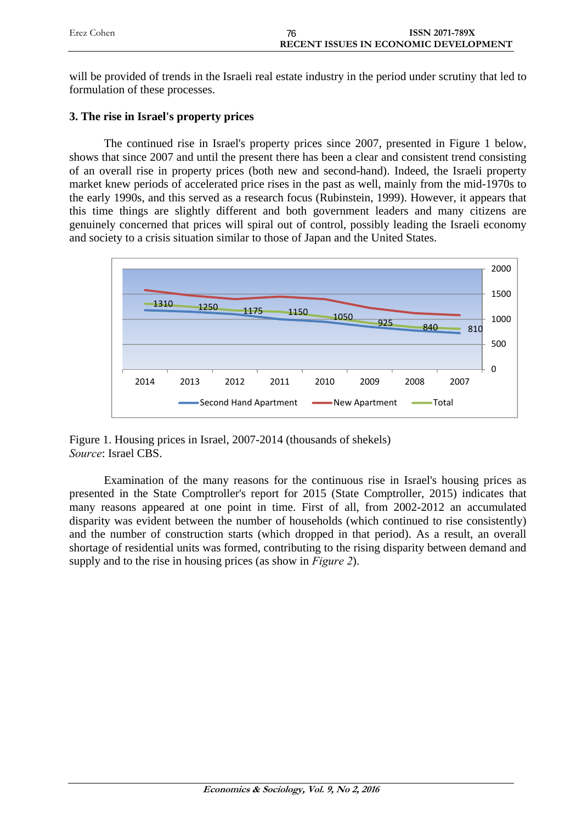| Erez Cohen | <b>ISSN 2071-789X</b>                 |
|------------|---------------------------------------|
|            | RECENT ISSUES IN ECONOMIC DEVELOPMENT |

will be provided of trends in the Israeli real estate industry in the period under scrutiny that led to formulation of these processes.

# **3. The rise in Israel's property prices**

The continued rise in Israel's property prices since 2007, presented in Figure 1 below, shows that since 2007 and until the present there has been a clear and consistent trend consisting of an overall rise in property prices (both new and second-hand). Indeed, the Israeli property market knew periods of accelerated price rises in the past as well, mainly from the mid-1970s to the early 1990s, and this served as a research focus (Rubinstein, 1999). However, it appears that this time things are slightly different and both government leaders and many citizens are genuinely concerned that prices will spiral out of control, possibly leading the Israeli economy and society to a crisis situation similar to those of Japan and the United States.



Figure 1. Housing prices in Israel, 2007-2014 (thousands of shekels) *Source*: Israel CBS.

Examination of the many reasons for the continuous rise in Israel's housing prices as presented in the State Comptroller's report for 2015 (State Comptroller, 2015) indicates that many reasons appeared at one point in time. First of all, from 2002-2012 an accumulated disparity was evident between the number of households (which continued to rise consistently) and the number of construction starts (which dropped in that period). As a result, an overall shortage of residential units was formed, contributing to the rising disparity between demand and supply and to the rise in housing prices (as show in *Figure 2*).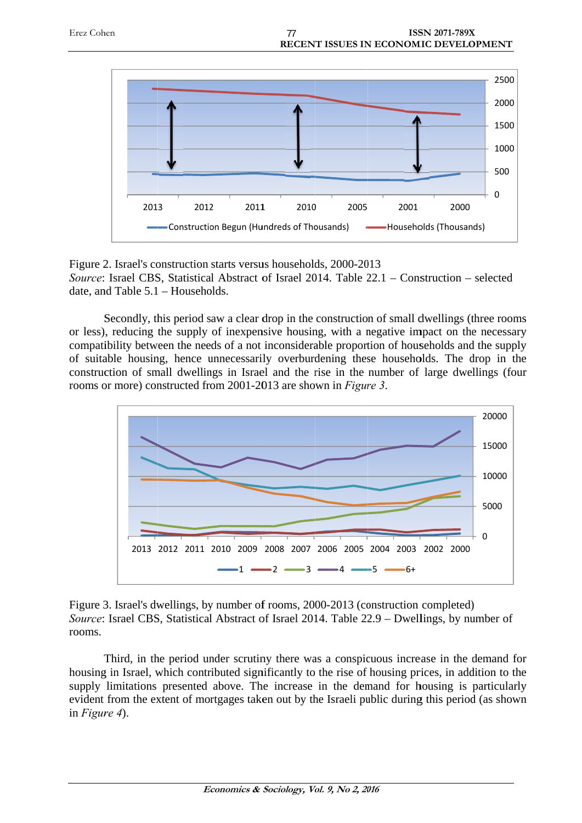



Figure 2. Israel's construction starts versus households, 2000-2013 Source: Israel CBS, Statistical Abstract of Israel 2014. Table 22.1 - Construction - selected date, and Table 5.1 - Households.

Secondly, this period saw a clear drop in the construction of small dwellings (three rooms or less), reducing the supply of inexpensive housing, with a negative impact on the necessary compatibility between the needs of a not inconsiderable proportion of households and the supply of suitable housing, hence unnecessarily overburdening these households. The drop in the construction of small dwellings in Israel and the rise in the number of large dwellings (four rooms or more) constructed from 2001-2013 are shown in *Figure 3*.



Figure 3. Israel's dwellings, by number of rooms, 2000-2013 (construction completed) Figure 3. Israel's dwellings, by number of rooms, 2000-2013 (construction completed)<br>*Source*: Israel CBS, Statistical Abstract of Israel 2014. Table 22.9 – Dwellings, by number of rooms.

Third, in the period under scrutiny there was a conspicuous increase in the demand for housing in Israel, which contributed significantly to the rise of housing prices, in addition to the supply limitations presented above. The increase in the demand for housing is particularly evident from the extent of mortgages taken out by the Israeli public during this period (as shown in *Figure 4*).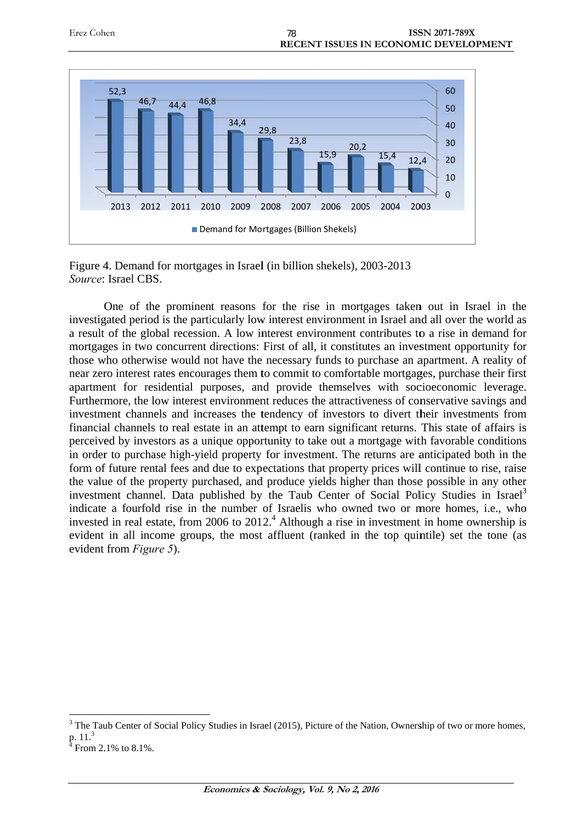

Figure 4. Demand for mortgages in Israel (in billion shekels), 2003-2013 Source: Israel CBS.

One of the prominent reasons for the rise in mortgages taken out in Israel in the investigated period is the particularly low interest environment in Israel and all over the world as a result of the global recession. A low interest environment contributes to a rise in demand for mortgages in two concurrent directions: First of all, it constitutes an investment opportunity for those who otherwise would not have the necessary funds to purchase an apartment. A reality of near zero interest rates encourages them to commit to comfortable mortgages, purchase their first apartment for residential purposes, and provide themselves with socioeconomic leverage. Furthermore, the low interest environment reduces the attractiveness of conservative savings and investment channels and increases the tendency of investors to divert their investments from financial channels to real estate in an attempt to earn significant returns. This state of affairs is perceived by investors as a unique opportunity to take out a mortgage with favorable conditions in order to purchase high-yield property for investment. The returns are anticipated both in the form of future rental fees and due to expectations that property prices will continue to rise, raise the value of the property purchased, and produce yields higher than those possible in any other investment channel. Data published by the Taub Center of Social Policy Studies in Israel<sup>3</sup> indicate a fourfold rise in the number of Israelis who owned two or more homes, i.e., who invested in real estate, from 2006 to 2012.<sup>4</sup> Although a rise in investment in home ownership is evident in all income groups, the most affluent (ranked in the top quintile) set the tone (as evident from *Figure* 5). he as or of rst ge.<br>or of rst ge.<br>and m is ns he seer<br>al <sup>3</sup> ho is as

 $\overline{a}$ 

 $\overline{a}$ 

 $3$  The Taub Center of Social Policy Studies in Israel (2015), Picture of the Nation, Ownership of two or more homes, p. 11.<sup>3</sup>

From 2.1% to 8.1%.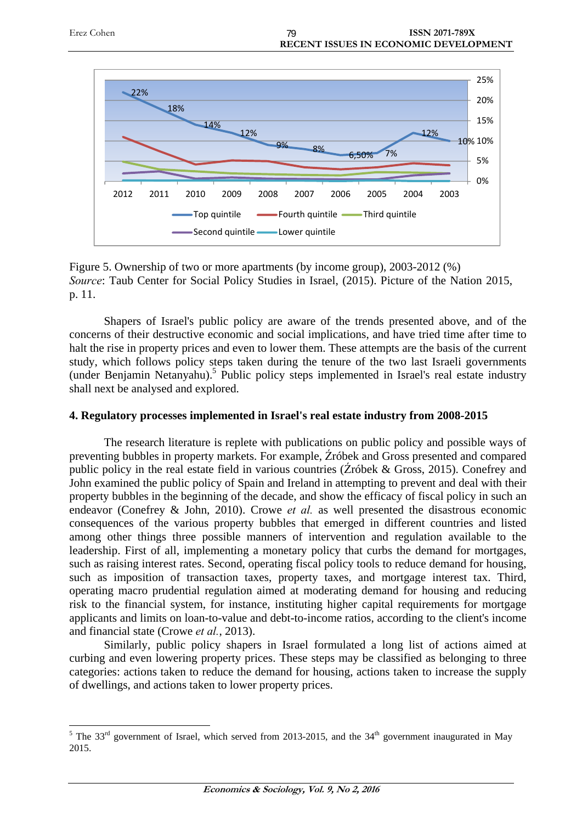

Figure 5. Ownership of two or more apartments (by income group), 2003-2012 (%) *Source*: Taub Center for Social Policy Studies in Israel, (2015). Picture of the Nation 2015, p. 11.

Shapers of Israel's public policy are aware of the trends presented above, and of the concerns of their destructive economic and social implications, and have tried time after time to halt the rise in property prices and even to lower them. These attempts are the basis of the current study, which follows policy steps taken during the tenure of the two last Israeli governments (under Benjamin Netanyahu).<sup>5</sup> Public policy steps implemented in Israel's real estate industry shall next be analysed and explored.

### **4. Regulatory processes implemented in Israel's real estate industry from 2008-2015**

The research literature is replete with publications on public policy and possible ways of preventing bubbles in property markets. For example, Źróbek and Gross presented and compared public policy in the real estate field in various countries (Źróbek & Gross, 2015). Conefrey and John examined the public policy of Spain and Ireland in attempting to prevent and deal with their property bubbles in the beginning of the decade, and show the efficacy of fiscal policy in such an endeavor (Conefrey & John, 2010). Crowe *et al.* as well presented the disastrous economic consequences of the various property bubbles that emerged in different countries and listed among other things three possible manners of intervention and regulation available to the leadership. First of all, implementing a monetary policy that curbs the demand for mortgages, such as raising interest rates. Second, operating fiscal policy tools to reduce demand for housing, such as imposition of transaction taxes, property taxes, and mortgage interest tax. Third, operating macro prudential regulation aimed at moderating demand for housing and reducing risk to the financial system, for instance, instituting higher capital requirements for mortgage applicants and limits on loan-to-value and debt-to-income ratios, according to the client's income and financial state (Crowe *et al.*, 2013).

Similarly, public policy shapers in Israel formulated a long list of actions aimed at curbing and even lowering property prices. These steps may be classified as belonging to three categories: actions taken to reduce the demand for housing, actions taken to increase the supply of dwellings, and actions taken to lower property prices.

<u>.</u>

<sup>&</sup>lt;sup>5</sup> The 33<sup>rd</sup> government of Israel, which served from 2013-2015, and the 34<sup>th</sup> government inaugurated in May 2015.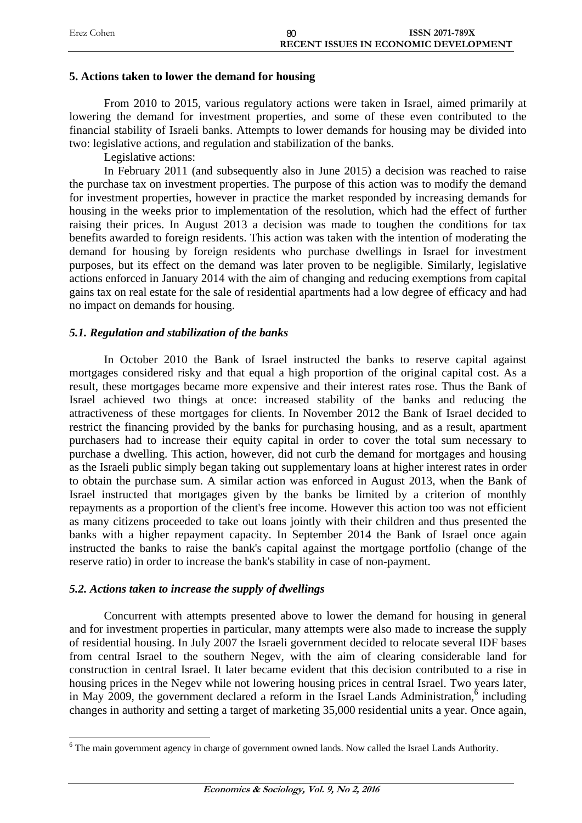| Erez Cohen | 80 | <b>ISSN 2071-789X</b>                        |
|------------|----|----------------------------------------------|
|            |    | <b>RECENT ISSUES IN ECONOMIC DEVELOPMENT</b> |

#### **5. Actions taken to lower the demand for housing**

From 2010 to 2015, various regulatory actions were taken in Israel, aimed primarily at lowering the demand for investment properties, and some of these even contributed to the financial stability of Israeli banks. Attempts to lower demands for housing may be divided into two: legislative actions, and regulation and stabilization of the banks.

Legislative actions:

In February 2011 (and subsequently also in June 2015) a decision was reached to raise the purchase tax on investment properties. The purpose of this action was to modify the demand for investment properties, however in practice the market responded by increasing demands for housing in the weeks prior to implementation of the resolution, which had the effect of further raising their prices. In August 2013 a decision was made to toughen the conditions for tax benefits awarded to foreign residents. This action was taken with the intention of moderating the demand for housing by foreign residents who purchase dwellings in Israel for investment purposes, but its effect on the demand was later proven to be negligible. Similarly, legislative actions enforced in January 2014 with the aim of changing and reducing exemptions from capital gains tax on real estate for the sale of residential apartments had a low degree of efficacy and had no impact on demands for housing.

#### *5.1. Regulation and stabilization of the banks*

In October 2010 the Bank of Israel instructed the banks to reserve capital against mortgages considered risky and that equal a high proportion of the original capital cost. As a result, these mortgages became more expensive and their interest rates rose. Thus the Bank of Israel achieved two things at once: increased stability of the banks and reducing the attractiveness of these mortgages for clients. In November 2012 the Bank of Israel decided to restrict the financing provided by the banks for purchasing housing, and as a result, apartment purchasers had to increase their equity capital in order to cover the total sum necessary to purchase a dwelling. This action, however, did not curb the demand for mortgages and housing as the Israeli public simply began taking out supplementary loans at higher interest rates in order to obtain the purchase sum. A similar action was enforced in August 2013, when the Bank of Israel instructed that mortgages given by the banks be limited by a criterion of monthly repayments as a proportion of the client's free income. However this action too was not efficient as many citizens proceeded to take out loans jointly with their children and thus presented the banks with a higher repayment capacity. In September 2014 the Bank of Israel once again instructed the banks to raise the bank's capital against the mortgage portfolio (change of the reserve ratio) in order to increase the bank's stability in case of non-payment.

#### *5.2. Actions taken to increase the supply of dwellings*

1

Concurrent with attempts presented above to lower the demand for housing in general and for investment properties in particular, many attempts were also made to increase the supply of residential housing. In July 2007 the Israeli government decided to relocate several IDF bases from central Israel to the southern Negev, with the aim of clearing considerable land for construction in central Israel. It later became evident that this decision contributed to a rise in housing prices in the Negev while not lowering housing prices in central Israel. Two years later, in May 2009, the government declared a reform in the Israel Lands Administration, $\delta$  including changes in authority and setting a target of marketing 35,000 residential units a year. Once again,

<sup>&</sup>lt;sup>6</sup> The main government agency in charge of government owned lands. Now called the Israel Lands Authority.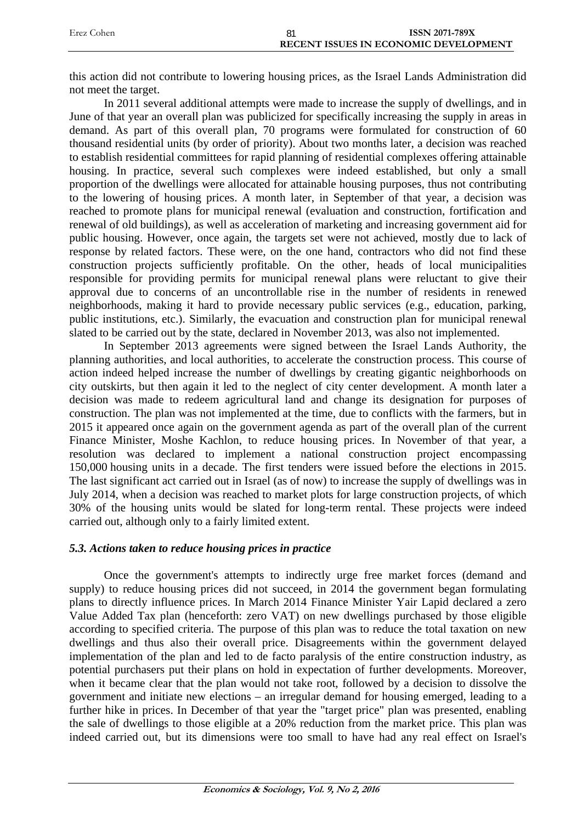| Erez Cohen | ISSN 2071-789X                               |
|------------|----------------------------------------------|
|            | <b>RECENT ISSUES IN ECONOMIC DEVELOPMENT</b> |

this action did not contribute to lowering housing prices, as the Israel Lands Administration did not meet the target.

In 2011 several additional attempts were made to increase the supply of dwellings, and in June of that year an overall plan was publicized for specifically increasing the supply in areas in demand. As part of this overall plan, 70 programs were formulated for construction of 60 thousand residential units (by order of priority). About two months later, a decision was reached to establish residential committees for rapid planning of residential complexes offering attainable housing. In practice, several such complexes were indeed established, but only a small proportion of the dwellings were allocated for attainable housing purposes, thus not contributing to the lowering of housing prices. A month later, in September of that year, a decision was reached to promote plans for municipal renewal (evaluation and construction, fortification and renewal of old buildings), as well as acceleration of marketing and increasing government aid for public housing. However, once again, the targets set were not achieved, mostly due to lack of response by related factors. These were, on the one hand, contractors who did not find these construction projects sufficiently profitable. On the other, heads of local municipalities responsible for providing permits for municipal renewal plans were reluctant to give their approval due to concerns of an uncontrollable rise in the number of residents in renewed neighborhoods, making it hard to provide necessary public services (e.g., education, parking, public institutions, etc.). Similarly, the evacuation and construction plan for municipal renewal slated to be carried out by the state, declared in November 2013, was also not implemented.

In September 2013 agreements were signed between the Israel Lands Authority, the planning authorities, and local authorities, to accelerate the construction process. This course of action indeed helped increase the number of dwellings by creating gigantic neighborhoods on city outskirts, but then again it led to the neglect of city center development. A month later a decision was made to redeem agricultural land and change its designation for purposes of construction. The plan was not implemented at the time, due to conflicts with the farmers, but in 2015 it appeared once again on the government agenda as part of the overall plan of the current Finance Minister, Moshe Kachlon, to reduce housing prices. In November of that year, a resolution was declared to implement a national construction project encompassing 150,000 housing units in a decade. The first tenders were issued before the elections in 2015. The last significant act carried out in Israel (as of now) to increase the supply of dwellings was in July 2014, when a decision was reached to market plots for large construction projects, of which 30% of the housing units would be slated for long-term rental. These projects were indeed carried out, although only to a fairly limited extent.

#### *5.3. Actions taken to reduce housing prices in practice*

Once the government's attempts to indirectly urge free market forces (demand and supply) to reduce housing prices did not succeed, in 2014 the government began formulating plans to directly influence prices. In March 2014 Finance Minister Yair Lapid declared a zero Value Added Tax plan (henceforth: zero VAT) on new dwellings purchased by those eligible according to specified criteria. The purpose of this plan was to reduce the total taxation on new dwellings and thus also their overall price. Disagreements within the government delayed implementation of the plan and led to de facto paralysis of the entire construction industry, as potential purchasers put their plans on hold in expectation of further developments. Moreover, when it became clear that the plan would not take root, followed by a decision to dissolve the government and initiate new elections – an irregular demand for housing emerged, leading to a further hike in prices. In December of that year the "target price" plan was presented, enabling the sale of dwellings to those eligible at a 20% reduction from the market price. This plan was indeed carried out, but its dimensions were too small to have had any real effect on Israel's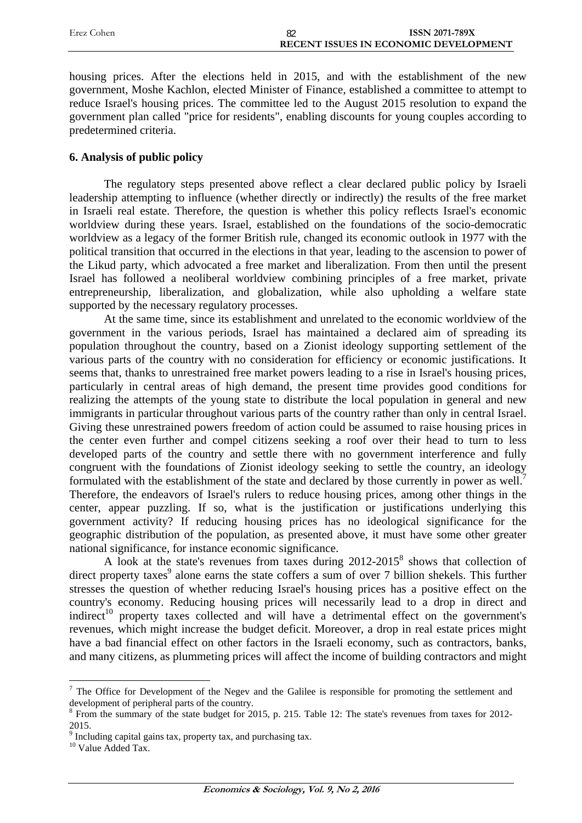| Erez Cohen | <b>ISSN 2071-789X</b>                 |
|------------|---------------------------------------|
|            | RECENT ISSUES IN ECONOMIC DEVELOPMENT |

housing prices. After the elections held in 2015, and with the establishment of the new government, Moshe Kachlon, elected Minister of Finance, established a committee to attempt to reduce Israel's housing prices. The committee led to the August 2015 resolution to expand the government plan called "price for residents", enabling discounts for young couples according to predetermined criteria.

#### **6. Analysis of public policy**

The regulatory steps presented above reflect a clear declared public policy by Israeli leadership attempting to influence (whether directly or indirectly) the results of the free market in Israeli real estate. Therefore, the question is whether this policy reflects Israel's economic worldview during these years. Israel, established on the foundations of the socio-democratic worldview as a legacy of the former British rule, changed its economic outlook in 1977 with the political transition that occurred in the elections in that year, leading to the ascension to power of the Likud party, which advocated a free market and liberalization. From then until the present Israel has followed a neoliberal worldview combining principles of a free market, private entrepreneurship, liberalization, and globalization, while also upholding a welfare state supported by the necessary regulatory processes.

At the same time, since its establishment and unrelated to the economic worldview of the government in the various periods, Israel has maintained a declared aim of spreading its population throughout the country, based on a Zionist ideology supporting settlement of the various parts of the country with no consideration for efficiency or economic justifications. It seems that, thanks to unrestrained free market powers leading to a rise in Israel's housing prices, particularly in central areas of high demand, the present time provides good conditions for realizing the attempts of the young state to distribute the local population in general and new immigrants in particular throughout various parts of the country rather than only in central Israel. Giving these unrestrained powers freedom of action could be assumed to raise housing prices in the center even further and compel citizens seeking a roof over their head to turn to less developed parts of the country and settle there with no government interference and fully congruent with the foundations of Zionist ideology seeking to settle the country, an ideology formulated with the establishment of the state and declared by those currently in power as well.<sup>7</sup> Therefore, the endeavors of Israel's rulers to reduce housing prices, among other things in the center, appear puzzling. If so, what is the justification or justifications underlying this government activity? If reducing housing prices has no ideological significance for the geographic distribution of the population, as presented above, it must have some other greater national significance, for instance economic significance.

A look at the state's revenues from taxes during 2012-2015<sup>8</sup> shows that collection of direct property taxes<sup>9</sup> alone earns the state coffers a sum of over 7 billion shekels. This further stresses the question of whether reducing Israel's housing prices has a positive effect on the country's economy. Reducing housing prices will necessarily lead to a drop in direct and indirect<sup>10</sup> property taxes collected and will have a detrimental effect on the government's revenues, which might increase the budget deficit. Moreover, a drop in real estate prices might have a bad financial effect on other factors in the Israeli economy, such as contractors, banks, and many citizens, as plummeting prices will affect the income of building contractors and might

 $7$  The Office for Development of the Negev and the Galilee is responsible for promoting the settlement and development of peripheral parts of the country.

<sup>&</sup>lt;sup>8</sup> From the summary of the state budget for 2015, p. 215. Table 12: The state's revenues from taxes for 2012-2015.

 $9 \text{ Including capital gains tax, property tax, and purchasing tax.}$  Value Added Tax.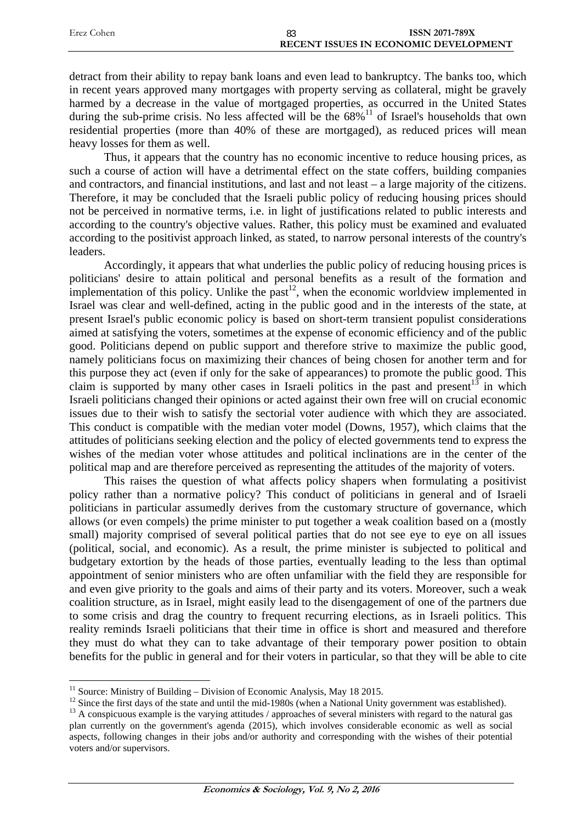| Erez Cohen | ISSN 2071-789X                               |
|------------|----------------------------------------------|
|            | <b>RECENT ISSUES IN ECONOMIC DEVELOPMENT</b> |

detract from their ability to repay bank loans and even lead to bankruptcy. The banks too, which in recent years approved many mortgages with property serving as collateral, might be gravely harmed by a decrease in the value of mortgaged properties, as occurred in the United States during the sub-prime crisis. No less affected will be the  $68\%$ <sup>11</sup> of Israel's households that own residential properties (more than 40% of these are mortgaged), as reduced prices will mean heavy losses for them as well.

Thus, it appears that the country has no economic incentive to reduce housing prices, as such a course of action will have a detrimental effect on the state coffers, building companies and contractors, and financial institutions, and last and not least – a large majority of the citizens. Therefore, it may be concluded that the Israeli public policy of reducing housing prices should not be perceived in normative terms, i.e. in light of justifications related to public interests and according to the country's objective values. Rather, this policy must be examined and evaluated according to the positivist approach linked, as stated, to narrow personal interests of the country's leaders.

Accordingly, it appears that what underlies the public policy of reducing housing prices is politicians' desire to attain political and personal benefits as a result of the formation and implementation of this policy. Unlike the past<sup>12</sup>, when the economic worldview implemented in Israel was clear and well-defined, acting in the public good and in the interests of the state, at present Israel's public economic policy is based on short-term transient populist considerations aimed at satisfying the voters, sometimes at the expense of economic efficiency and of the public good. Politicians depend on public support and therefore strive to maximize the public good, namely politicians focus on maximizing their chances of being chosen for another term and for this purpose they act (even if only for the sake of appearances) to promote the public good. This claim is supported by many other cases in Israeli politics in the past and present<sup>13</sup> in which Israeli politicians changed their opinions or acted against their own free will on crucial economic issues due to their wish to satisfy the sectorial voter audience with which they are associated. This conduct is compatible with the median voter model (Downs, 1957), which claims that the attitudes of politicians seeking election and the policy of elected governments tend to express the wishes of the median voter whose attitudes and political inclinations are in the center of the political map and are therefore perceived as representing the attitudes of the majority of voters.

This raises the question of what affects policy shapers when formulating a positivist policy rather than a normative policy? This conduct of politicians in general and of Israeli politicians in particular assumedly derives from the customary structure of governance, which allows (or even compels) the prime minister to put together a weak coalition based on a (mostly small) majority comprised of several political parties that do not see eye to eye on all issues (political, social, and economic). As a result, the prime minister is subjected to political and budgetary extortion by the heads of those parties, eventually leading to the less than optimal appointment of senior ministers who are often unfamiliar with the field they are responsible for and even give priority to the goals and aims of their party and its voters. Moreover, such a weak coalition structure, as in Israel, might easily lead to the disengagement of one of the partners due to some crisis and drag the country to frequent recurring elections, as in Israeli politics. This reality reminds Israeli politicians that their time in office is short and measured and therefore they must do what they can to take advantage of their temporary power position to obtain benefits for the public in general and for their voters in particular, so that they will be able to cite

 $11$  Source: Ministry of Building – Division of Economic Analysis, May 18 2015.

<sup>&</sup>lt;sup>12</sup> Since the first days of the state and until the mid-1980s (when a National Unity government was established).

<sup>&</sup>lt;sup>13</sup> A conspicuous example is the varying attitudes / approaches of several ministers with regard to the natural gas plan currently on the government's agenda (2015), which involves considerable economic as well as social aspects, following changes in their jobs and/or authority and corresponding with the wishes of their potential voters and/or supervisors.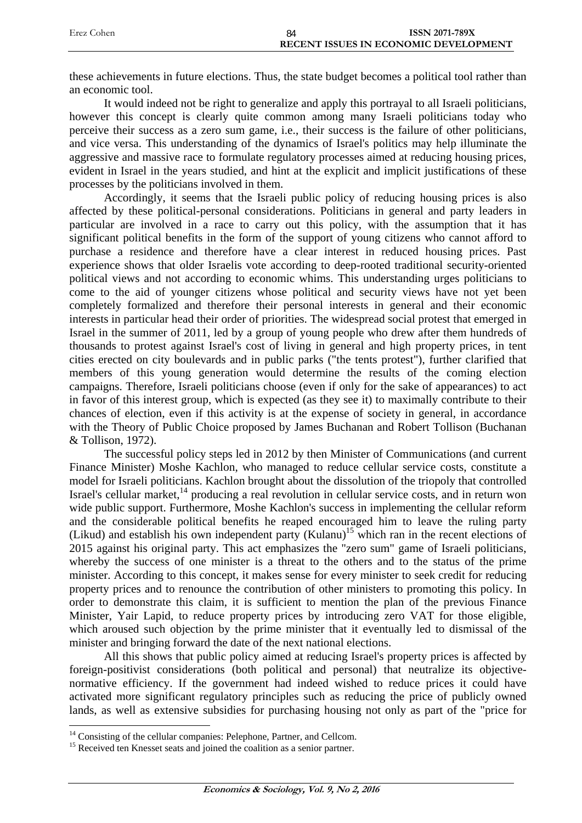| Erez Cohen | 84 | ISSN 2071-789X                               |
|------------|----|----------------------------------------------|
|            |    | <b>RECENT ISSUES IN ECONOMIC DEVELOPMENT</b> |

these achievements in future elections. Thus, the state budget becomes a political tool rather than an economic tool.

It would indeed not be right to generalize and apply this portrayal to all Israeli politicians, however this concept is clearly quite common among many Israeli politicians today who perceive their success as a zero sum game, i.e., their success is the failure of other politicians, and vice versa. This understanding of the dynamics of Israel's politics may help illuminate the aggressive and massive race to formulate regulatory processes aimed at reducing housing prices, evident in Israel in the years studied, and hint at the explicit and implicit justifications of these processes by the politicians involved in them.

Accordingly, it seems that the Israeli public policy of reducing housing prices is also affected by these political-personal considerations. Politicians in general and party leaders in particular are involved in a race to carry out this policy, with the assumption that it has significant political benefits in the form of the support of young citizens who cannot afford to purchase a residence and therefore have a clear interest in reduced housing prices. Past experience shows that older Israelis vote according to deep-rooted traditional security-oriented political views and not according to economic whims. This understanding urges politicians to come to the aid of younger citizens whose political and security views have not yet been completely formalized and therefore their personal interests in general and their economic interests in particular head their order of priorities. The widespread social protest that emerged in Israel in the summer of 2011, led by a group of young people who drew after them hundreds of thousands to protest against Israel's cost of living in general and high property prices, in tent cities erected on city boulevards and in public parks ("the tents protest"), further clarified that members of this young generation would determine the results of the coming election campaigns. Therefore, Israeli politicians choose (even if only for the sake of appearances) to act in favor of this interest group, which is expected (as they see it) to maximally contribute to their chances of election, even if this activity is at the expense of society in general, in accordance with the Theory of Public Choice proposed by James Buchanan and Robert Tollison (Buchanan & Tollison, 1972).

The successful policy steps led in 2012 by then Minister of Communications (and current Finance Minister) Moshe Kachlon, who managed to reduce cellular service costs, constitute a model for Israeli politicians. Kachlon brought about the dissolution of the triopoly that controlled Israel's cellular market, $14$  producing a real revolution in cellular service costs, and in return won wide public support. Furthermore, Moshe Kachlon's success in implementing the cellular reform and the considerable political benefits he reaped encouraged him to leave the ruling party (Likud) and establish his own independent party (Kulanu)<sup>15</sup> which ran in the recent elections of 2015 against his original party. This act emphasizes the "zero sum" game of Israeli politicians, whereby the success of one minister is a threat to the others and to the status of the prime minister. According to this concept, it makes sense for every minister to seek credit for reducing property prices and to renounce the contribution of other ministers to promoting this policy. In order to demonstrate this claim, it is sufficient to mention the plan of the previous Finance Minister, Yair Lapid, to reduce property prices by introducing zero VAT for those eligible, which aroused such objection by the prime minister that it eventually led to dismissal of the minister and bringing forward the date of the next national elections.

All this shows that public policy aimed at reducing Israel's property prices is affected by foreign-positivist considerations (both political and personal) that neutralize its objectivenormative efficiency. If the government had indeed wished to reduce prices it could have activated more significant regulatory principles such as reducing the price of publicly owned lands, as well as extensive subsidies for purchasing housing not only as part of the "price for

<u>.</u>

<sup>&</sup>lt;sup>14</sup> Consisting of the cellular companies: Pelephone, Partner, and Cellcom.

<sup>&</sup>lt;sup>15</sup> Received ten Knesset seats and joined the coalition as a senior partner.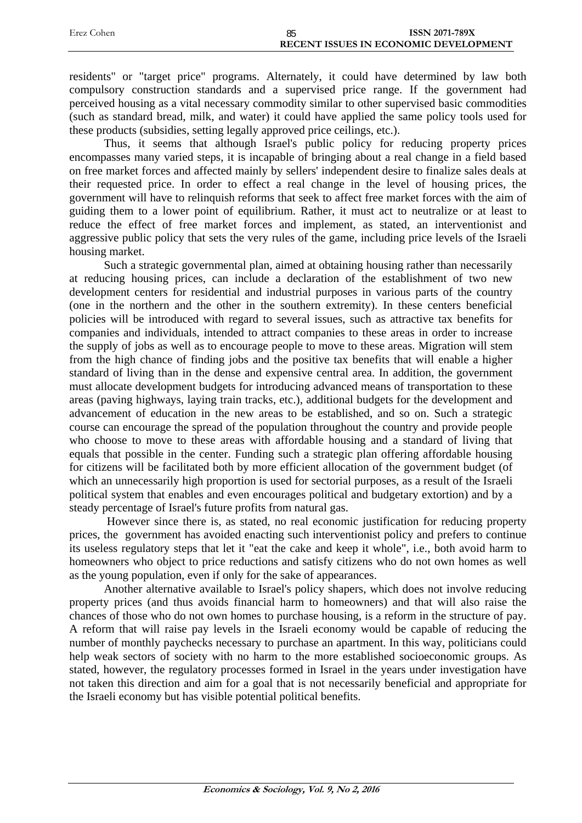| Erez Cohen | 85 | <b>ISSN 2071-789X</b>                 |
|------------|----|---------------------------------------|
|            |    | RECENT ISSUES IN ECONOMIC DEVELOPMENT |

residents" or "target price" programs. Alternately, it could have determined by law both compulsory construction standards and a supervised price range. If the government had perceived housing as a vital necessary commodity similar to other supervised basic commodities (such as standard bread, milk, and water) it could have applied the same policy tools used for these products (subsidies, setting legally approved price ceilings, etc.).

Thus, it seems that although Israel's public policy for reducing property prices encompasses many varied steps, it is incapable of bringing about a real change in a field based on free market forces and affected mainly by sellers' independent desire to finalize sales deals at their requested price. In order to effect a real change in the level of housing prices, the government will have to relinquish reforms that seek to affect free market forces with the aim of guiding them to a lower point of equilibrium. Rather, it must act to neutralize or at least to reduce the effect of free market forces and implement, as stated, an interventionist and aggressive public policy that sets the very rules of the game, including price levels of the Israeli housing market.

Such a strategic governmental plan, aimed at obtaining housing rather than necessarily at reducing housing prices, can include a declaration of the establishment of two new development centers for residential and industrial purposes in various parts of the country (one in the northern and the other in the southern extremity). In these centers beneficial policies will be introduced with regard to several issues, such as attractive tax benefits for companies and individuals, intended to attract companies to these areas in order to increase the supply of jobs as well as to encourage people to move to these areas. Migration will stem from the high chance of finding jobs and the positive tax benefits that will enable a higher standard of living than in the dense and expensive central area. In addition, the government must allocate development budgets for introducing advanced means of transportation to these areas (paving highways, laying train tracks, etc.), additional budgets for the development and advancement of education in the new areas to be established, and so on. Such a strategic course can encourage the spread of the population throughout the country and provide people who choose to move to these areas with affordable housing and a standard of living that equals that possible in the center. Funding such a strategic plan offering affordable housing for citizens will be facilitated both by more efficient allocation of the government budget (of which an unnecessarily high proportion is used for sectorial purposes, as a result of the Israeli political system that enables and even encourages political and budgetary extortion) and by a steady percentage of Israel's future profits from natural gas.

 However since there is, as stated, no real economic justification for reducing property prices, the government has avoided enacting such interventionist policy and prefers to continue its useless regulatory steps that let it "eat the cake and keep it whole", i.e., both avoid harm to homeowners who object to price reductions and satisfy citizens who do not own homes as well as the young population, even if only for the sake of appearances.

Another alternative available to Israel's policy shapers, which does not involve reducing property prices (and thus avoids financial harm to homeowners) and that will also raise the chances of those who do not own homes to purchase housing, is a reform in the structure of pay. A reform that will raise pay levels in the Israeli economy would be capable of reducing the number of monthly paychecks necessary to purchase an apartment. In this way, politicians could help weak sectors of society with no harm to the more established socioeconomic groups. As stated, however, the regulatory processes formed in Israel in the years under investigation have not taken this direction and aim for a goal that is not necessarily beneficial and appropriate for the Israeli economy but has visible potential political benefits.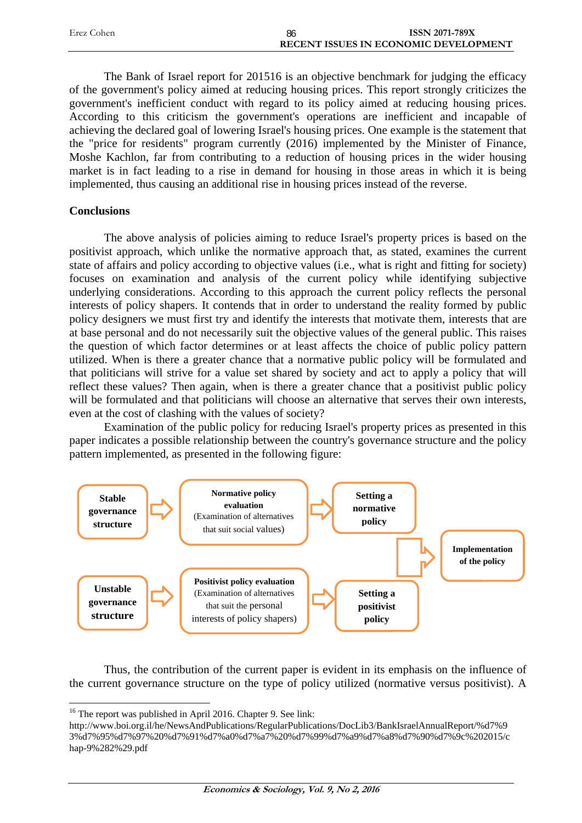| Erez Cohen | 86 | ISSN 2071-789X                               |
|------------|----|----------------------------------------------|
|            |    | <b>RECENT ISSUES IN ECONOMIC DEVELOPMENT</b> |

The Bank of Israel report for 201516 is an objective benchmark for judging the efficacy of the government's policy aimed at reducing housing prices. This report strongly criticizes the government's inefficient conduct with regard to its policy aimed at reducing housing prices. According to this criticism the government's operations are inefficient and incapable of achieving the declared goal of lowering Israel's housing prices. One example is the statement that the "price for residents" program currently (2016) implemented by the Minister of Finance, Moshe Kachlon, far from contributing to a reduction of housing prices in the wider housing market is in fact leading to a rise in demand for housing in those areas in which it is being implemented, thus causing an additional rise in housing prices instead of the reverse.

## **Conclusions**

The above analysis of policies aiming to reduce Israel's property prices is based on the positivist approach, which unlike the normative approach that, as stated, examines the current state of affairs and policy according to objective values (i.e., what is right and fitting for society) focuses on examination and analysis of the current policy while identifying subjective underlying considerations. According to this approach the current policy reflects the personal interests of policy shapers. It contends that in order to understand the reality formed by public policy designers we must first try and identify the interests that motivate them, interests that are at base personal and do not necessarily suit the objective values of the general public. This raises the question of which factor determines or at least affects the choice of public policy pattern utilized. When is there a greater chance that a normative public policy will be formulated and that politicians will strive for a value set shared by society and act to apply a policy that will reflect these values? Then again, when is there a greater chance that a positivist public policy will be formulated and that politicians will choose an alternative that serves their own interests, even at the cost of clashing with the values of society?

Examination of the public policy for reducing Israel's property prices as presented in this paper indicates a possible relationship between the country's governance structure and the policy pattern implemented, as presented in the following figure:



Thus, the contribution of the current paper is evident in its emphasis on the influence of the current governance structure on the type of policy utilized (normative versus positivist). A

<sup>&</sup>lt;sup>16</sup> The report was published in April 2016. Chapter 9. See link:

http://www.boi.org.il/he/NewsAndPublications/RegularPublications/DocLib3/BankIsraelAnnualReport/%d7%9 3%d7%95%d7%97%20%d7%91%d7%a0%d7%a7%20%d7%99%d7%a9%d7%a8%d7%90%d7%9c%202015/c hap-9%282%29.pdf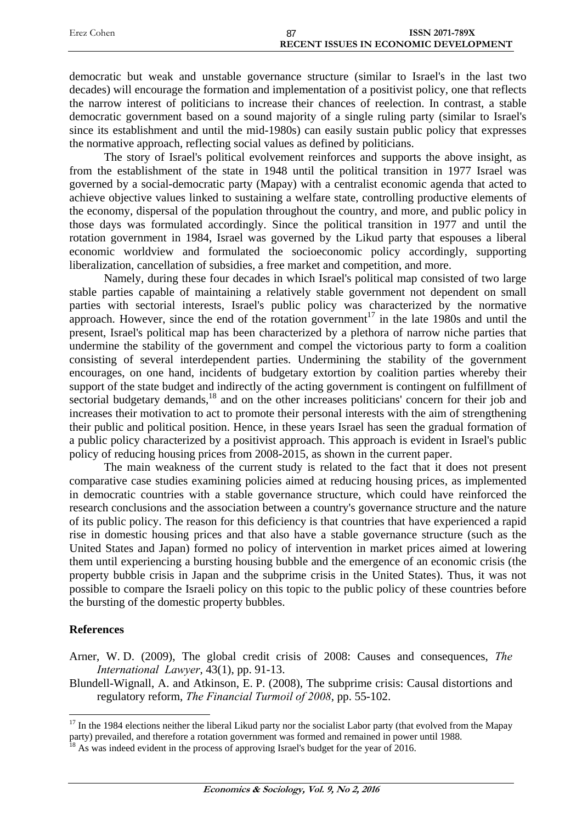| Erez Cohen | ISSN 2071-789X                               |
|------------|----------------------------------------------|
|            | <b>RECENT ISSUES IN ECONOMIC DEVELOPMENT</b> |

democratic but weak and unstable governance structure (similar to Israel's in the last two decades) will encourage the formation and implementation of a positivist policy, one that reflects the narrow interest of politicians to increase their chances of reelection. In contrast, a stable democratic government based on a sound majority of a single ruling party (similar to Israel's since its establishment and until the mid-1980s) can easily sustain public policy that expresses the normative approach, reflecting social values as defined by politicians.

The story of Israel's political evolvement reinforces and supports the above insight, as from the establishment of the state in 1948 until the political transition in 1977 Israel was governed by a social-democratic party (Mapay) with a centralist economic agenda that acted to achieve objective values linked to sustaining a welfare state, controlling productive elements of the economy, dispersal of the population throughout the country, and more, and public policy in those days was formulated accordingly. Since the political transition in 1977 and until the rotation government in 1984, Israel was governed by the Likud party that espouses a liberal economic worldview and formulated the socioeconomic policy accordingly, supporting liberalization, cancellation of subsidies, a free market and competition, and more.

Namely, during these four decades in which Israel's political map consisted of two large stable parties capable of maintaining a relatively stable government not dependent on small parties with sectorial interests, Israel's public policy was characterized by the normative approach. However, since the end of the rotation government<sup>17</sup> in the late 1980s and until the present, Israel's political map has been characterized by a plethora of narrow niche parties that undermine the stability of the government and compel the victorious party to form a coalition consisting of several interdependent parties. Undermining the stability of the government encourages, on one hand, incidents of budgetary extortion by coalition parties whereby their support of the state budget and indirectly of the acting government is contingent on fulfillment of sectorial budgetary demands,<sup>18</sup> and on the other increases politicians' concern for their job and increases their motivation to act to promote their personal interests with the aim of strengthening their public and political position. Hence, in these years Israel has seen the gradual formation of a public policy characterized by a positivist approach. This approach is evident in Israel's public policy of reducing housing prices from 2008-2015, as shown in the current paper.

The main weakness of the current study is related to the fact that it does not present comparative case studies examining policies aimed at reducing housing prices, as implemented in democratic countries with a stable governance structure, which could have reinforced the research conclusions and the association between a country's governance structure and the nature of its public policy. The reason for this deficiency is that countries that have experienced a rapid rise in domestic housing prices and that also have a stable governance structure (such as the United States and Japan) formed no policy of intervention in market prices aimed at lowering them until experiencing a bursting housing bubble and the emergence of an economic crisis (the property bubble crisis in Japan and the subprime crisis in the United States). Thus, it was not possible to compare the Israeli policy on this topic to the public policy of these countries before the bursting of the domestic property bubbles.

#### **References**

1

Arner, W. D. (2009), The global credit crisis of 2008: Causes and consequences, *The International Lawyer*, 43(1), pp. 91-13.

Blundell-Wignall, A. and Atkinson, E. P. (2008), The subprime crisis: Causal distortions and regulatory reform, *The Financial Turmoil of 2008*, pp. 55-102.

<sup>&</sup>lt;sup>17</sup> In the 1984 elections neither the liberal Likud party nor the socialist Labor party (that evolved from the Mapay party) prevailed, and therefore a rotation government was formed and remained in power until 1988.<br><sup>18</sup> As was indeed evident in the process of approving Israel's budget for the year of 2016.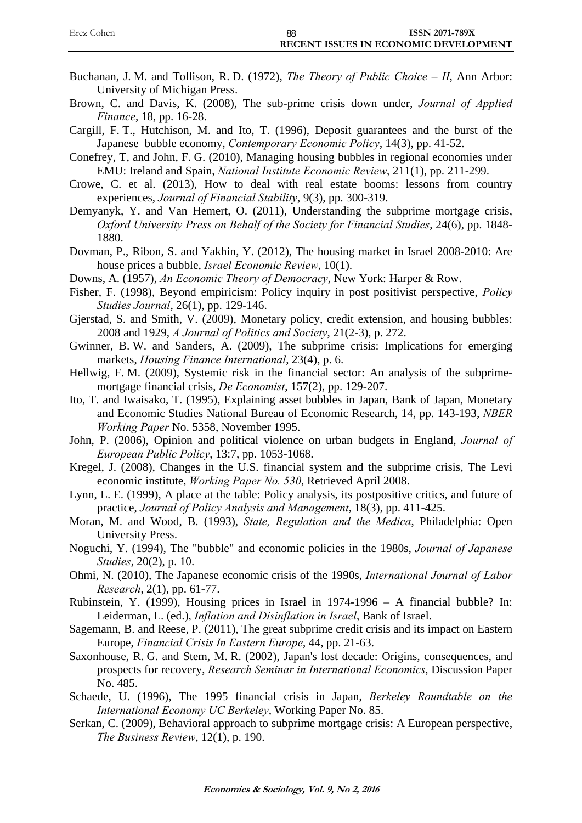| Erez Cohen | 88 | <b>ISSN 2071-789X</b>                        |
|------------|----|----------------------------------------------|
|            |    | <b>RECENT ISSUES IN ECONOMIC DEVELOPMENT</b> |

- Buchanan, J. M. and Tollison, R. D. (1972), *The Theory of Public Choice II*, Ann Arbor: University of Michigan Press.
- Brown, C. and Davis, K. (2008), The sub-prime crisis down under, *Journal of Applied Finance*, 18, pp. 16-28.
- Cargill, F. T., Hutchison, M. and Ito, T. (1996), Deposit guarantees and the burst of the Japanese bubble economy, *Contemporary Economic Policy*, 14(3), pp. 41-52.
- Conefrey, T, and John, F. G. (2010), Managing housing bubbles in regional economies under EMU: Ireland and Spain, *National Institute Economic Review*, 211(1), pp. 211-299.
- Crowe, C. et al. (2013), How to deal with real estate booms: lessons from country experiences, *Journal of Financial Stability*, 9(3), pp. 300-319.
- Demyanyk, Y. and Van Hemert, O. (2011), Understanding the subprime mortgage crisis, *Oxford University Press on Behalf of the Society for Financial Studies*, 24(6), pp. 1848- 1880.
- Dovman, P., Ribon, S. and Yakhin, Y. (2012), The housing market in Israel 2008-2010: Are house prices a bubble, *Israel Economic Review*, 10(1).
- Downs, A. (1957), *An Economic Theory of Democracy*, New York: Harper & Row.
- Fisher, F. (1998), Beyond empiricism: Policy inquiry in post positivist perspective, *Policy Studies Journal*, 26(1), pp. 129-146.
- Gjerstad, S. and Smith, V. (2009), Monetary policy, credit extension, and housing bubbles: 2008 and 1929, *A Journal of Politics and Society*, 21(2-3), p. 272.
- Gwinner, B. W. and Sanders, A. (2009), The subprime crisis: Implications for emerging markets, *Housing Finance International*, 23(4), p. 6.
- Hellwig, F. M. (2009), Systemic risk in the financial sector: An analysis of the subprimemortgage financial crisis, *De Economist*, 157(2), pp. 129-207.
- Ito, T. and Iwaisako, T. (1995), Explaining asset bubbles in Japan, Bank of Japan, Monetary and Economic Studies National Bureau of Economic Research, 14, pp. 143-193, *NBER Working Paper* No. 5358, November 1995.
- John, P. (2006), Opinion and political violence on urban budgets in England, *Journal of European Public Policy*, 13:7, pp. 1053-1068.
- Kregel, J. (2008), Changes in the U.S. financial system and the subprime crisis, The Levi economic institute, *Working Paper No. 530*, Retrieved April 2008.
- Lynn, L. E. (1999), A place at the table: Policy analysis, its postpositive critics, and future of practice, *Journal of Policy Analysis and Management*, 18(3), pp. 411-425.
- Moran, M. and Wood, B. (1993), *State, Regulation and the Medica*, Philadelphia: Open University Press.
- Noguchi, Y. (1994), The "bubble" and economic policies in the 1980s, *Journal of Japanese Studies*, 20(2), p. 10.
- Ohmi, N. (2010), The Japanese economic crisis of the 1990s, *International Journal of Labor Research*, 2(1), pp. 61-77.
- Rubinstein, Y. (1999), Housing prices in Israel in 1974-1996 A financial bubble? In: Leiderman, L. (ed.), *Inflation and Disinflation in Israel*, Bank of Israel.
- Sagemann, B. and Reese, P. (2011), The great subprime credit crisis and its impact on Eastern Europe, *Financial Crisis In Eastern Europe*, 44, pp. 21-63.
- Saxonhouse, R. G. and Stem, M. R. (2002), Japan's lost decade: Origins, consequences, and prospects for recovery, *Research Seminar in International Economics*, Discussion Paper No. 485.
- Schaede, U. (1996), The 1995 financial crisis in Japan, *Berkeley Roundtable on the International Economy UC Berkeley*, Working Paper No. 85.
- Serkan, C. (2009), Behavioral approach to subprime mortgage crisis: A European perspective, *The Business Review*, 12(1), p. 190.